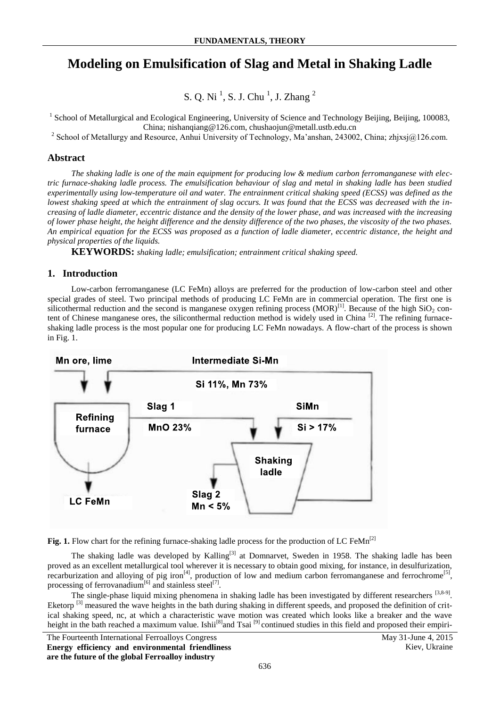# **Modeling on Emulsification of Slag and Metal in Shaking Ladle**

S. Q. Ni<sup>1</sup>, S. J. Chu<sup>1</sup>, J. Zhang<sup>2</sup>

<sup>1</sup> School of Metallurgical and Ecological Engineering, University of Science and Technology Beijing, Beijing, 100083, China; nishanqiang@126.com, chushaojun@metall.ustb.edu.cn

<sup>2</sup> School of Metallurgy and Resource, Anhui University of Technology, Ma'anshan, 243002, China; zhjxsj@126.com.

### **Abstract**

*The shaking ladle is one of the main equipment for producing low & medium carbon ferromanganese with electric furnace-shaking ladle process. The emulsification behaviour of slag and metal in shaking ladle has been studied experimentally using low-temperature oil and water. The entrainment critical shaking speed (ECSS) was defined as the lowest shaking speed at which the entrainment of slag occurs. It was found that the ECSS was decreased with the increasing of ladle diameter, eccentric distance and the density of the lower phase, and was increased with the increasing of lower phase height, the height difference and the density difference of the two phases, the viscosity of the two phases. An empirical equation for the ECSS was proposed as a function of ladle diameter, eccentric distance, the height and physical properties of the liquids.* 

**KEYWORDS:** *shaking ladle; emulsification; entrainment critical shaking speed.*

### **1. Introduction**

Low-carbon ferromanganese (LC FeMn) alloys are preferred for the production of low-carbon steel and other special grades of steel. Two principal methods of producing LC FeMn are in commercial operation. The first one is silicothermal reduction and the second is manganese oxygen refining process  $(MOR)^{[1]}$ . Because of the high SiO<sub>2</sub> content of Chinese manganese ores, the siliconthermal reduction method is widely used in China  $^{[2]}$ . The refining furnaceshaking ladle process is the most popular one for producing LC FeMn nowadays. A flow-chart of the process is shown in Fig. 1.



Fig. 1. Flow chart for the refining furnace-shaking ladle process for the production of LC FeMn<sup>[2]</sup>

The shaking ladle was developed by Kalling<sup>[3]</sup> at Domnarvet, Sweden in 1958. The shaking ladle has been proved as an excellent metallurgical tool wherever it is necessary to obtain good mixing, for instance, in desulfurization, recarburization and alloying of pig iron<sup>[4]</sup>, production of low and medium carbon ferromanganese and ferrochrome<sup>[5]</sup>, processing of ferrovanadium<sup>[6]</sup> and stainless steel<sup>[7]</sup>.

The single-phase liquid mixing phenomena in shaking ladle has been investigated by different researchers  $[3,8-9]$ . Eketorp<sup>[3]</sup> measured the wave heights in the bath during shaking in different speeds, and proposed the definition of critical shaking speed, nc, at which a characteristic wave motion was created which looks like a breaker and the wave height in the bath reached a maximum value. Ishii<sup>[8]</sup>and Tsai <sup>[9]</sup> continued studies in this field and proposed their empiri-

The Fourteenth International Ferroalloys Congress May 31-June 4, 2015 **Energy efficiency and environmental friendliness are the future of the global Ferroalloy industry**

Kiev, Ukraine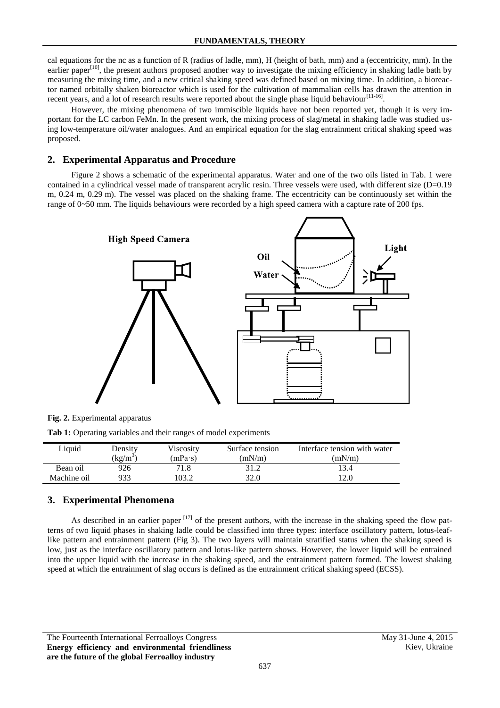cal equations for the nc as a function of R (radius of ladle, mm), H (height of bath, mm) and a (eccentricity, mm). In the earlier paper<sup>[10]</sup>, the present authors proposed another way to investigate the mixing efficiency in shaking ladle bath by measuring the mixing time, and a new critical shaking speed was defined based on mixing time. In addition, a bioreactor named orbitally shaken bioreactor which is used for the cultivation of mammalian cells has drawn the attention in recent years, and a lot of research results were reported about the single phase liquid behaviour  $[11-16]$ .

However, the mixing phenomena of two immiscible liquids have not been reported yet, though it is very important for the LC carbon FeMn. In the present work, the mixing process of slag/metal in shaking ladle was studied using low-temperature oil/water analogues. And an empirical equation for the slag entrainment critical shaking speed was proposed.

### **2. Experimental Apparatus and Procedure**

Figure 2 shows a schematic of the experimental apparatus. Water and one of the two oils listed in Tab. 1 were contained in a cylindrical vessel made of transparent acrylic resin. Three vessels were used, with different size (D=0.19 m, 0.24 m, 0.29 m). The vessel was placed on the shaking frame. The eccentricity can be continuously set within the range of 0~50 mm. The liquids behaviours were recorded by a high speed camera with a capture rate of 200 fps.



**Fig. 2.** Experimental apparatus

**Tab 1:** Operating variables and their ranges of model experiments

| Liauid      | Density               | Viscosity | Surface tension | Interface tension with water |  |  |  |
|-------------|-----------------------|-----------|-----------------|------------------------------|--|--|--|
|             | $\kappa$ g/m $\kappa$ | (mPa·s)   | (mN/m)          | (mN/m)                       |  |  |  |
| Bean oil    | 926                   |           |                 | 13.4                         |  |  |  |
| Machine oil | 933                   | 03.2      | 32.0            |                              |  |  |  |

# **3. Experimental Phenomena**

As described in an earlier paper  $[17]$  of the present authors, with the increase in the shaking speed the flow patterns of two liquid phases in shaking ladle could be classified into three types: interface oscillatory pattern, lotus-leaflike pattern and entrainment pattern (Fig 3). The two layers will maintain stratified status when the shaking speed is low, just as the interface oscillatory pattern and lotus-like pattern shows. However, the lower liquid will be entrained into the upper liquid with the increase in the shaking speed, and the entrainment pattern formed. The lowest shaking speed at which the entrainment of slag occurs is defined as the entrainment critical shaking speed (ECSS).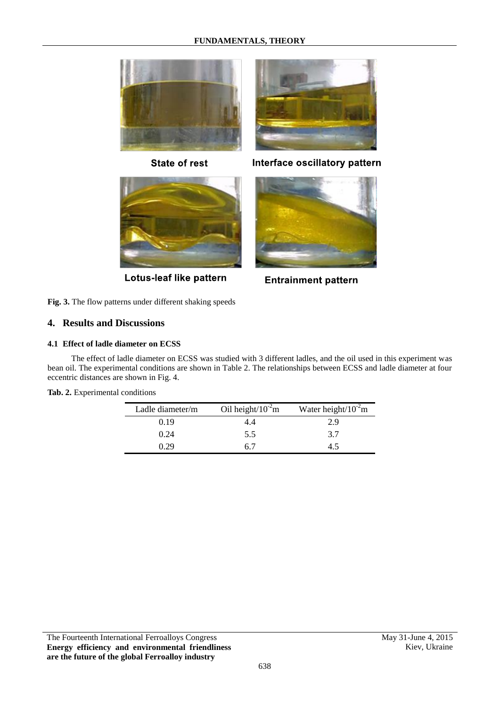# **FUNDAMENTALS, THEORY**



**State of rest** 



Lotus-leaf like pattern

Interface oscillatory pattern



**Entrainment pattern** 

**Fig. 3.** The flow patterns under different shaking speeds

# **4. Results and Discussions**

### **4.1 Effect of ladle diameter on ECSS**

The effect of ladle diameter on ECSS was studied with 3 different ladles, and the oil used in this experiment was bean oil. The experimental conditions are shown in Table 2. The relationships between ECSS and ladle diameter at four eccentric distances are shown in Fig. 4.

| Ladle diameter/m | Oil height/ $10^{-2}$ m | Water height/ $10^{-2}$ m |
|------------------|-------------------------|---------------------------|
| 0.19             | 4.4                     | 2.9                       |
| 0.24             | 5.5                     | 3.7                       |
|                  |                         | 45                        |

## **Tab. 2.** Experimental conditions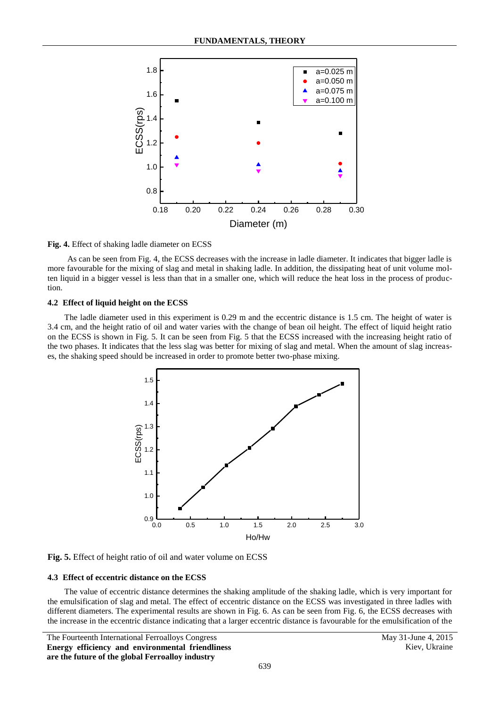

#### **Fig. 4.** Effect of shaking ladle diameter on ECSS

As can be seen from Fig. 4, the ECSS decreases with the increase in ladle diameter. It indicates that bigger ladle is more favourable for the mixing of slag and metal in shaking ladle. In addition, the dissipating heat of unit volume molten liquid in a bigger vessel is less than that in a smaller one, which will reduce the heat loss in the process of production.

#### **4.2 Effect of liquid height on the ECSS**

The ladle diameter used in this experiment is 0.29 m and the eccentric distance is 1.5 cm. The height of water is 3.4 cm, and the height ratio of oil and water varies with the change of bean oil height. The effect of liquid height ratio on the ECSS is shown in Fig. 5. It can be seen from Fig. 5 that the ECSS increased with the increasing height ratio of the two phases. It indicates that the less slag was better for mixing of slag and metal. When the amount of slag increases, the shaking speed should be increased in order to promote better two-phase mixing.





#### **4.3 Effect of eccentric distance on the ECSS**

The value of eccentric distance determines the shaking amplitude of the shaking ladle, which is very important for the emulsification of slag and metal. The effect of eccentric distance on the ECSS was investigated in three ladles with different diameters. The experimental results are shown in Fig. 6. As can be seen from Fig. 6, the ECSS decreases with the increase in the eccentric distance indicating that a larger eccentric distance is favourable for the emulsification of the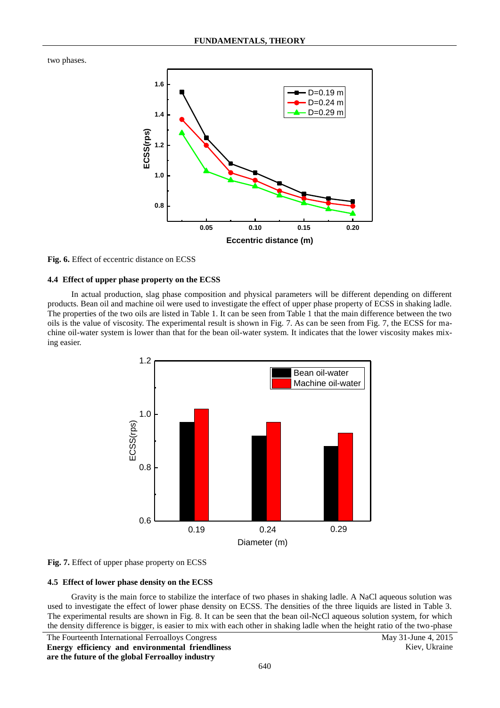two phases.



### **Fig. 6.** Effect of eccentric distance on ECSS

### **4.4 Effect of upper phase property on the ECSS**

In actual production, slag phase composition and physical parameters will be different depending on different products. Bean oil and machine oil were used to investigate the effect of upper phase property of ECSS in shaking ladle. The properties of the two oils are listed in Table 1. It can be seen from Table 1 that the main difference between the two oils is the value of viscosity. The experimental result is shown in Fig. 7. As can be seen from Fig. 7, the ECSS for machine oil-water system is lower than that for the bean oil-water system. It indicates that the lower viscosity makes mixing easier.



#### **Fig. 7.** Effect of upper phase property on ECSS

#### **4.5 Effect of lower phase density on the ECSS**

Gravity is the main force to stabilize the interface of two phases in shaking ladle. A NaCl aqueous solution was used to investigate the effect of lower phase density on ECSS. The densities of the three liquids are listed in Table 3. The experimental results are shown in Fig. 8. It can be seen that the bean oil-NcCl aqueous solution system, for which the density difference is bigger, is easier to mix with each other in shaking ladle when the height ratio of the two-phase

The Fourteenth International Ferroalloys Congress May 31-June 4, 2015 **Energy efficiency and environmental friendliness are the future of the global Ferroalloy industry**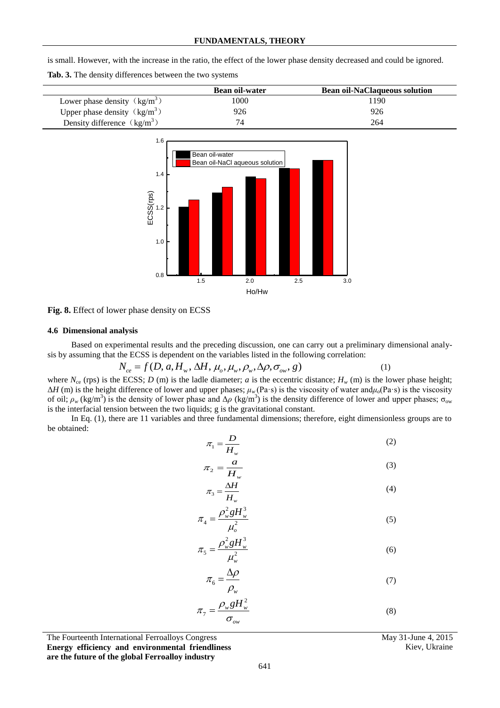|  |  |                                                         | is small. However, with the increase in the ratio, the effect of the lower phase density decreased and could be ignored. |  |  |  |
|--|--|---------------------------------------------------------|--------------------------------------------------------------------------------------------------------------------------|--|--|--|
|  |  | Tab. 3. The density differences between the two systems |                                                                                                                          |  |  |  |

|                                                   | <b>Bean oil-water</b> | <b>Bean oil-NaClaqueous solution</b> |
|---------------------------------------------------|-----------------------|--------------------------------------|
| Lower phase density $\left(\frac{kg}{m^3}\right)$ | 1000                  | 1190                                 |
| Upper phase density $\left(\frac{kg}{m^3}\right)$ | 926                   | 926                                  |
| Density difference $\left(\frac{kg}{m^3}\right)$  |                       | 264                                  |



**Fig. 8.** Effect of lower phase density on ECSS

### **4.6 Dimensional analysis**

Based on experimental results and the preceding discussion, one can carry out a preliminary dimensional analysis by assuming that the ECSS is dependent on the variables listed in the following correlation: erimental results and the preceding discussion, one can<br>the ECSS is dependent on the variables listed in the follow<br> $N_{ce} = f(D, a, H_w, \Delta H, \mu_o, \mu_w, \rho_w, \Delta \rho, \sigma_{ow}, g)$ 

$$
U_{ce} = f(D, a, H_w, \Delta H, \mu_o, \mu_w, \rho_w, \Delta \rho, \sigma_{ow}, g) \tag{1}
$$

where  $N_{\rm ce}$  (rps) is the ECSS; *D* (m) is the ladle diameter; *a* is the eccentric distance;  $H_w$  (m) is the lower phase height; Δ*H* (m) is the height difference of lower and upper phases; *μw* (Pa·s) is the viscosity of water and*μo*(Pa·s) is the viscosity of oil;  $\rho_w$  (kg/m<sup>3</sup>) is the density of lower phase and  $\Delta \rho$  (kg/m<sup>3</sup>) is the density difference of lower and upper phases;  $\sigma_{ow}$ is the interfacial tension between the two liquids; g is the gravitational constant.

In Eq. (1), there are 11 variables and three fundamental dimensions; therefore, eight dimensionless groups are to be obtained:

$$
\pi_1 = \frac{D}{H_w} \tag{2}
$$

$$
\pi_2 = \frac{a}{H_w} \tag{3}
$$

$$
\pi_3 = \frac{\Delta H}{H_w} \tag{4}
$$

$$
\pi_4 = \frac{\rho_w^2 g H_w^3}{\mu_o^2} \tag{5}
$$

$$
\pi_5 = \frac{\rho_w^2 g H_w^3}{\mu_w^2} \tag{6}
$$

$$
\pi_6 = \frac{\Delta \rho}{\rho_w} \tag{7}
$$

$$
\pi_7 = \frac{\rho_w g H_w^2}{\sigma_{ow}}
$$
\n(8)

The Fourteenth International Ferroalloys Congress May 31-June 4, 2015 **Energy efficiency and environmental friendliness** 

**are the future of the global Ferroalloy industry**

Kiev, Ukraine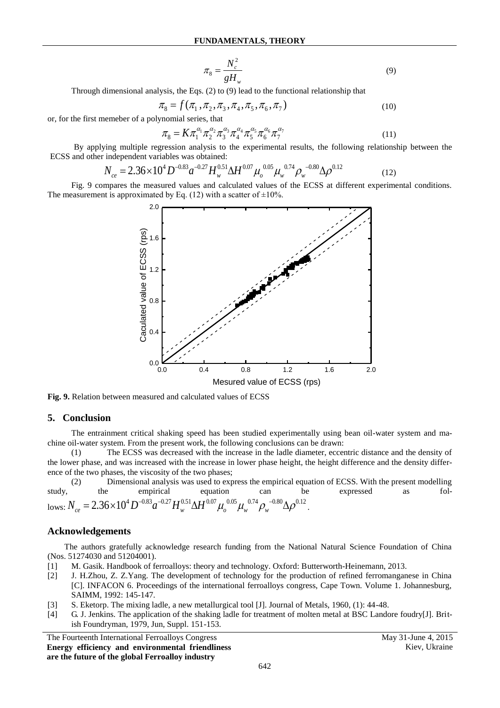$$
\pi_{8} = \frac{N_c^2}{gH_w} \tag{9}
$$

Through dimensional analysis, the Eqs. (2) to (9) lead to the functional relationship that  
\n
$$
\pi_8 = f(\pi_1, \pi_2, \pi_3, \pi_4, \pi_5, \pi_6, \pi_7)
$$
\n(10)

or, for the first memeber of a polynomial series, that

$$
\pi_8 = K \pi_1^{\alpha_1} \pi_2^{\alpha_2} \pi_3^{\alpha_3} \pi_4^{\alpha_4} \pi_5^{\alpha_5} \pi_6^{\alpha_6} \pi_7^{\alpha_7}
$$
\n(11)

By applying multiple regression analysis to the experimental results, the following relationship between the and other independent variables was obtained:<br>  $N_{ce} = 2.36 \times 10^4 D^{-0.83} a^{-0.27} H_w^{0.51} \Delta H^{0.07} \mu_o^{0.05} \mu_w^{0.7$ ECSS and other independent variables was obtained:

$$
N_{ce} = 2.36 \times 10^4 D^{-0.83} a^{-0.27} H_w^{0.51} \Delta H^{0.07} \mu_o^{0.05} \mu_w^{0.74} \rho_w^{-0.80} \Delta \rho^{0.12}
$$
 (12)

Fig. 9 compares the measured values and calculated values of the ECSS at different experimental conditions. The measurement is approximated by Eq. (12) with a scatter of  $\pm 10\%$ .



**Fig. 9.** Relation between measured and calculated values of ECSS

## **5. Conclusion**

The entrainment critical shaking speed has been studied experimentally using bean oil-water system and machine oil-water system. From the present work, the following conclusions can be drawn:

(1) The ECSS was decreased with the increase in the ladle diameter, eccentric distance and the density of the lower phase, and was increased with the increase in lower phase height, the height difference and the density difference of the two phases, the viscosity of the two phases;

(2) Dimensional analysis was used to express the empirical equation of ECSS. With the present modelling study, the empirical equation can be expressed as fol-(2) Dimensional analysis was used to express the empirical equation of the empirical equation equation can be lows:  $N_{ce} = 2.36 \times 10^4 D^{-0.83} a^{-0.27} H_w^{0.51} \Delta H^{0.07} \mu_o^{0.05} \mu_w^{0.74} \rho_w^{-0.80} \Delta \rho^{0.12}$ .

## **Acknowledgements**

The authors gratefully acknowledge research funding from the National Natural Science Foundation of China (Nos. 51274030 and 51204001).

- [1] M. Gasik. Handbook of ferroalloys: theory and technology. Oxford: Butterworth-Heinemann, 2013.
- [2] J. H.Zhou, Z. Z.Yang. The development of technology for the production of refined ferromanganese in China [C]. INFACON 6. Proceedings of the international ferroalloys congress, Cape Town. Volume 1. Johannesburg, SAIMM, 1992: 145-147.
- [3] S. Eketorp. The mixing ladle, a new metallurgical tool [J]. Journal of Metals, 1960, (1): 44-48.
- [4] G. J. Jenkins. The application of the shaking ladle for treatment of molten metal at BSC Landore foudry[J]. British Foundryman, 1979, Jun, Suppl. 151-153.

The Fourteenth International Ferroalloys Congress May 31-June 4, 2015 **Energy efficiency and environmental friendliness are the future of the global Ferroalloy industry**